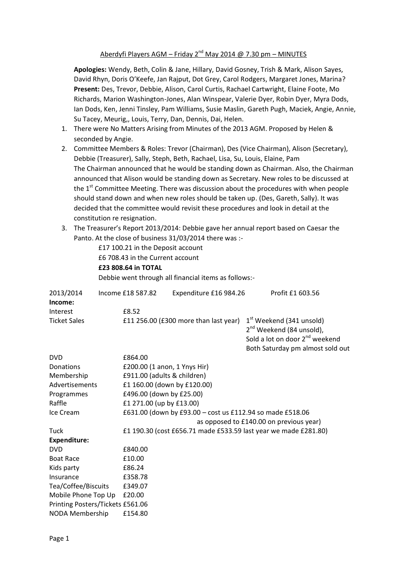## Aberdyfi Players AGM – Friday  $2^{nd}$  May 2014 @ 7.30 pm – MINUTES

**Apologies:** Wendy, Beth, Colin & Jane, Hillary, David Gosney, Trish & Mark, Alison Sayes, David Rhyn, Doris O'Keefe, Jan Rajput, Dot Grey, Carol Rodgers, Margaret Jones, Marina? **Present:** Des, Trevor, Debbie, Alison, Carol Curtis, Rachael Cartwright, Elaine Foote, Mo Richards, Marion Washington-Jones, Alan Winspear, Valerie Dyer, Robin Dyer, Myra Dods, Ian Dods, Ken, Jenni Tinsley, Pam Williams, Susie Maslin, Gareth Pugh, Maciek, Angie, Annie, Su Tacey, Meurig,, Louis, Terry, Dan, Dennis, Dai, Helen.

- 1. There were No Matters Arising from Minutes of the 2013 AGM. Proposed by Helen & seconded by Angie.
- 2. Committee Members & Roles: Trevor (Chairman), Des (Vice Chairman), Alison (Secretary), Debbie (Treasurer), Sally, Steph, Beth, Rachael, Lisa, Su, Louis, Elaine, Pam The Chairman announced that he would be standing down as Chairman. Also, the Chairman announced that Alison would be standing down as Secretary. New roles to be discussed at the  $1<sup>st</sup>$  Committee Meeting. There was discussion about the procedures with when people should stand down and when new roles should be taken up. (Des, Gareth, Sally). It was decided that the committee would revisit these procedures and look in detail at the constitution re resignation.
- 3. The Treasurer's Report 2013/2014: Debbie gave her annual report based on Caesar the Panto. At the close of business 31/03/2014 there was :-

|                                  | £17 100.21 in the Deposit account<br>£6 708.43 in the Current account<br>£23 808.64 in TOTAL | Debbie went through all financial items as follows:-            |                                                                                                                                                                |  |  |
|----------------------------------|----------------------------------------------------------------------------------------------|-----------------------------------------------------------------|----------------------------------------------------------------------------------------------------------------------------------------------------------------|--|--|
|                                  |                                                                                              |                                                                 |                                                                                                                                                                |  |  |
| 2013/2014<br>Income:             | Income £18 587.82                                                                            | Expenditure £16 984.26                                          | Profit £1 603.56                                                                                                                                               |  |  |
| Interest                         | £8.52                                                                                        |                                                                 |                                                                                                                                                                |  |  |
| <b>Ticket Sales</b>              |                                                                                              | £11 256.00 (£300 more than last year)                           | 1 <sup>st</sup> Weekend (341 unsold)<br>2 <sup>nd</sup> Weekend (84 unsold),<br>Sold a lot on door 2 <sup>nd</sup> weekend<br>Both Saturday pm almost sold out |  |  |
| <b>DVD</b>                       | £864.00                                                                                      |                                                                 |                                                                                                                                                                |  |  |
| Donations                        |                                                                                              | £200.00 (1 anon, 1 Ynys Hir)                                    |                                                                                                                                                                |  |  |
| Membership                       |                                                                                              | £911.00 (adults & children)                                     |                                                                                                                                                                |  |  |
| Advertisements                   |                                                                                              | £1 160.00 (down by £120.00)                                     |                                                                                                                                                                |  |  |
| Programmes                       |                                                                                              | £496.00 (down by £25.00)                                        |                                                                                                                                                                |  |  |
| Raffle                           |                                                                                              | £1 271.00 (up by £13.00)                                        |                                                                                                                                                                |  |  |
| Ice Cream                        |                                                                                              | £631.00 (down by £93.00 - cost us £112.94 so made £518.06       |                                                                                                                                                                |  |  |
|                                  |                                                                                              | as opposed to £140.00 on previous year)                         |                                                                                                                                                                |  |  |
| Tuck                             |                                                                                              | £1 190.30 (cost £656.71 made £533.59 last year we made £281.80) |                                                                                                                                                                |  |  |
| Expenditure:                     |                                                                                              |                                                                 |                                                                                                                                                                |  |  |
| <b>DVD</b>                       | £840.00                                                                                      |                                                                 |                                                                                                                                                                |  |  |
| <b>Boat Race</b>                 | £10.00                                                                                       |                                                                 |                                                                                                                                                                |  |  |
| Kids party                       | £86.24                                                                                       |                                                                 |                                                                                                                                                                |  |  |
| Insurance                        | £358.78                                                                                      |                                                                 |                                                                                                                                                                |  |  |
| Tea/Coffee/Biscuits              | £349.07                                                                                      |                                                                 |                                                                                                                                                                |  |  |
| Mobile Phone Top Up              | £20.00                                                                                       |                                                                 |                                                                                                                                                                |  |  |
| Printing Posters/Tickets £561.06 |                                                                                              |                                                                 |                                                                                                                                                                |  |  |
| NODA Membership                  | £154.80                                                                                      |                                                                 |                                                                                                                                                                |  |  |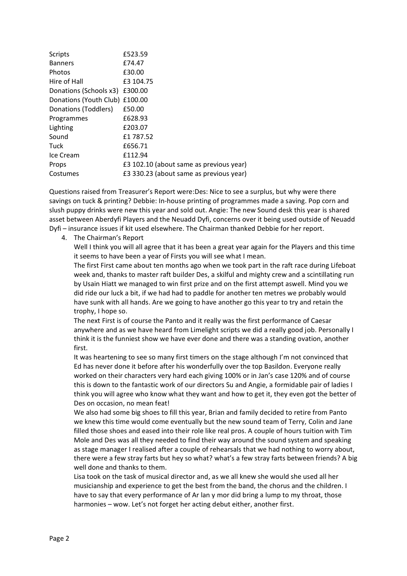| <b>Scripts</b>                 | £523.59                                 |
|--------------------------------|-----------------------------------------|
| <b>Banners</b>                 | £74.47                                  |
| Photos                         | £30.00                                  |
| Hire of Hall                   | £3 104.75                               |
| Donations (Schools x3)         | £300.00                                 |
| Donations (Youth Club) £100.00 |                                         |
| Donations (Toddlers)           | £50.00                                  |
| Programmes                     | £628.93                                 |
| Lighting                       | £203.07                                 |
| Sound                          | £1 787.52                               |
| Tuck                           | £656.71                                 |
| Ice Cream                      | £112.94                                 |
| Props                          | £3 102.10 (about same as previous year) |
| Costumes                       | £3 330.23 (about same as previous year) |

Questions raised from Treasurer's Report were:Des: Nice to see a surplus, but why were there savings on tuck & printing? Debbie: In-house printing of programmes made a saving. Pop corn and slush puppy drinks were new this year and sold out. Angie: The new Sound desk this year is shared asset between Aberdyfi Players and the Neuadd Dyfi, concerns over it being used outside of Neuadd Dyfi – insurance issues if kit used elsewhere. The Chairman thanked Debbie for her report.

4. The Chairman's Report

Well I think you will all agree that it has been a great year again for the Players and this time it seems to have been a year of Firsts you will see what I mean.

The first First came about ten months ago when we took part in the raft race during Lifeboat week and, thanks to master raft builder Des, a skilful and mighty crew and a scintillating run by Usain Hiatt we managed to win first prize and on the first attempt aswell. Mind you we did ride our luck a bit, if we had had to paddle for another ten metres we probably would have sunk with all hands. Are we going to have another go this year to try and retain the trophy, I hope so.

The next First is of course the Panto and it really was the first performance of Caesar anywhere and as we have heard from Limelight scripts we did a really good job. Personally I think it is the funniest show we have ever done and there was a standing ovation, another first.

It was heartening to see so many first timers on the stage although I'm not convinced that Ed has never done it before after his wonderfully over the top Basildon. Everyone really worked on their characters very hard each giving 100% or in Jan's case 120% and of course this is down to the fantastic work of our directors Su and Angie, a formidable pair of ladies I think you will agree who know what they want and how to get it, they even got the better of Des on occasion, no mean feat!

We also had some big shoes to fill this year, Brian and family decided to retire from Panto we knew this time would come eventually but the new sound team of Terry, Colin and Jane filled those shoes and eased into their role like real pros. A couple of hours tuition with Tim Mole and Des was all they needed to find their way around the sound system and speaking as stage manager I realised after a couple of rehearsals that we had nothing to worry about, there were a few stray farts but hey so what? what's a few stray farts between friends? A big well done and thanks to them.

Lisa took on the task of musical director and, as we all knew she would she used all her musicianship and experience to get the best from the band, the chorus and the children. I have to say that every performance of Ar lan y mor did bring a lump to my throat, those harmonies – wow. Let's not forget her acting debut either, another first.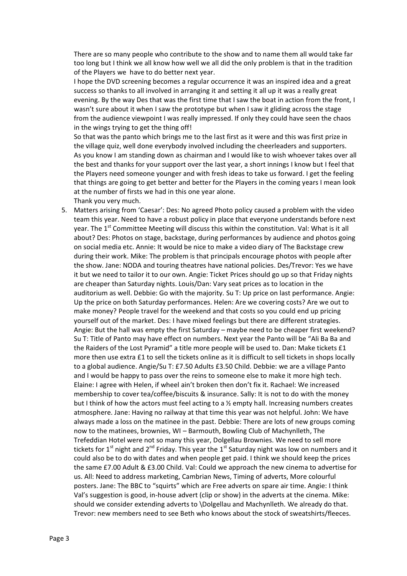There are so many people who contribute to the show and to name them all would take far too long but I think we all know how well we all did the only problem is that in the tradition of the Players we have to do better next year.

I hope the DVD screening becomes a regular occurrence it was an inspired idea and a great success so thanks to all involved in arranging it and setting it all up it was a really great evening. By the way Des that was the first time that I saw the boat in action from the front, I wasn't sure about it when I saw the prototype but when I saw it gliding across the stage from the audience viewpoint I was really impressed. If only they could have seen the chaos in the wings trying to get the thing off!

So that was the panto which brings me to the last first as it were and this was first prize in the village quiz, well done everybody involved including the cheerleaders and supporters. As you know I am standing down as chairman and I would like to wish whoever takes over all the best and thanks for your support over the last year, a short innings I know but I feel that the Players need someone younger and with fresh ideas to take us forward. I get the feeling that things are going to get better and better for the Players in the coming years I mean look at the number of firsts we had in this one year alone. Thank you very much.

5. Matters arising from 'Caesar': Des: No agreed Photo policy caused a problem with the video team this year. Need to have a robust policy in place that everyone understands before next year. The 1<sup>st</sup> Committee Meeting will discuss this within the constitution. Val: What is it all about? Des: Photos on stage, backstage, during performances by audience and photos going on social media etc. Annie: It would be nice to make a video diary of The Backstage crew during their work. Mike: The problem is that principals encourage photos with people after the show. Jane: NODA and touring theatres have national policies. Des/Trevor: Yes we have it but we need to tailor it to our own. Angie: Ticket Prices should go up so that Friday nights are cheaper than Saturday nights. Louis/Dan: Vary seat prices as to location in the auditorium as well. Debbie: Go with the majority. Su T: Up price on last performance. Angie: Up the price on both Saturday performances. Helen: Are we covering costs? Are we out to make money? People travel for the weekend and that costs so you could end up pricing yourself out of the market. Des: I have mixed feelings but there are different strategies. Angie: But the hall was empty the first Saturday – maybe need to be cheaper first weekend? Su T: Title of Panto may have effect on numbers. Next year the Panto will be "Ali Ba Ba and the Raiders of the Lost Pyramid" a title more people will be used to. Dan: Make tickets £1 more then use extra £1 to sell the tickets online as it is difficult to sell tickets in shops locally to a global audience. Angie/Su T: £7.50 Adults £3.50 Child. Debbie: we are a village Panto and I would be happy to pass over the reins to someone else to make it more high tech. Elaine: I agree with Helen, if wheel ain't broken then don't fix it. Rachael: We increased membership to cover tea/coffee/biscuits & insurance. Sally: It is not to do with the money but I think of how the actors must feel acting to a ½ empty hall. Increasing numbers creates atmosphere. Jane: Having no railway at that time this year was not helpful. John: We have always made a loss on the matinee in the past. Debbie: There are lots of new groups coming now to the matinees, brownies, WI – Barmouth, Bowling Club of Machynlleth, The Trefeddian Hotel were not so many this year, Dolgellau Brownies. We need to sell more tickets for  $1<sup>st</sup>$  night and  $2<sup>nd</sup>$  Friday. This year the  $1<sup>st</sup>$  Saturday night was low on numbers and it could also be to do with dates and when people get paid. I think we should keep the prices the same £7.00 Adult & £3.00 Child. Val: Could we approach the new cinema to advertise for us. All: Need to address marketing, Cambrian News, Timing of adverts, More colourful posters. Jane: The BBC to "squirts" which are Free adverts on spare air time. Angie: I think Val's suggestion is good, in-house advert (clip or show) in the adverts at the cinema. Mike: should we consider extending adverts to \Dolgellau and Machynlleth. We already do that. Trevor: new members need to see Beth who knows about the stock of sweatshirts/fleeces.